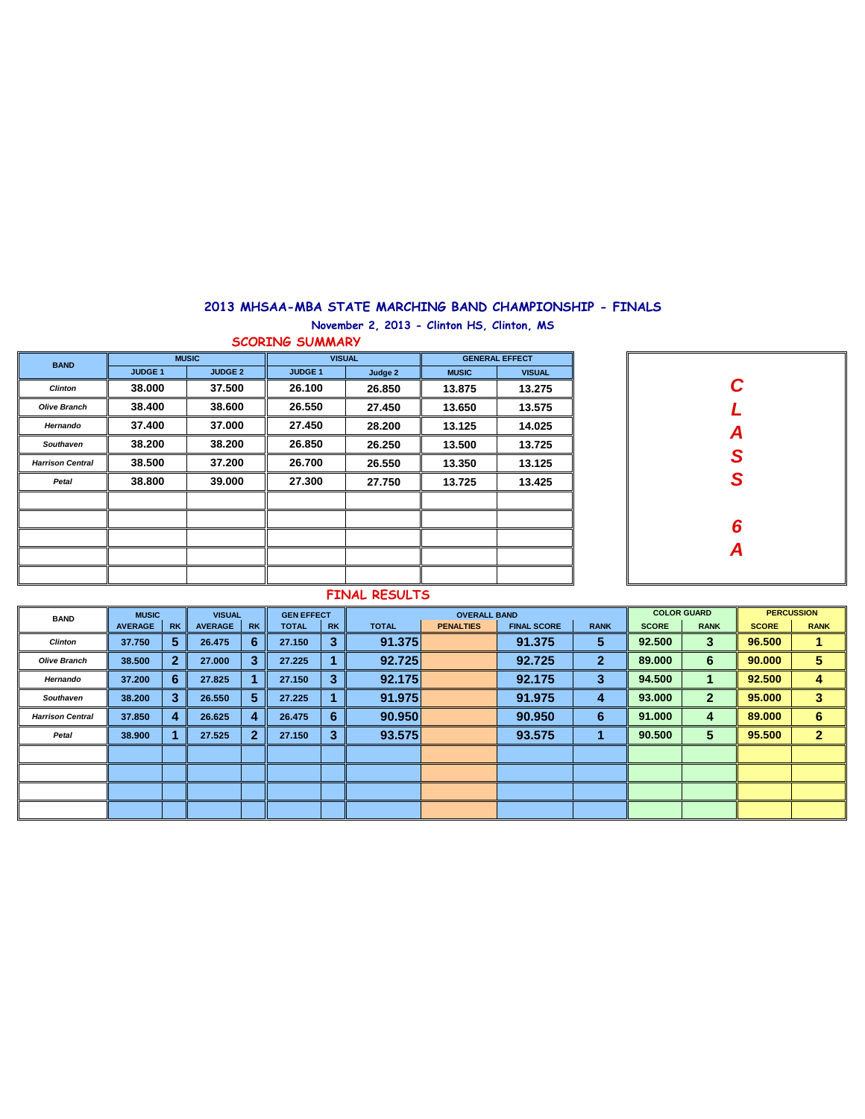## **2013 MHSAA-MBA STATE MARCHING BAND CHAMPIONSHIP - FINALS November 2, 2013 - Clinton HS, Clinton, MS**

**SCORING SUMMARY**

| <b>BAND</b>             |                | <b>MUSIC</b>   |                | <b>VISUAL</b> | <b>GENERAL EFFECT</b> |               |  |  |  |
|-------------------------|----------------|----------------|----------------|---------------|-----------------------|---------------|--|--|--|
|                         | <b>JUDGE 1</b> | <b>JUDGE 2</b> | <b>JUDGE 1</b> | Judge 2       | <b>MUSIC</b>          | <b>VISUAL</b> |  |  |  |
| <b>Clinton</b>          | 38.000         | 37.500         | 26.100         | 26.850        | 13.875                | 13.275        |  |  |  |
| <b>Olive Branch</b>     | 38.400         | 38,600         | 26.550         | 27.450        | 13.650                | 13.575        |  |  |  |
| Hernando                | 37.400         | 37,000         | 27.450         | 28.200        | 13.125                | 14.025        |  |  |  |
| <b>Southaven</b>        | 38.200         | 38.200         | 26.850         | 26.250        | 13.500                | 13.725        |  |  |  |
| <b>Harrison Central</b> | 38.500         | 37.200         | 26.700         | 26.550        | 13.350                | 13.125        |  |  |  |
| Petal                   | 38.800         | 39,000         | 27.300         | 27.750        | 13.725                | 13.425        |  |  |  |
|                         |                |                |                |               |                       |               |  |  |  |
|                         |                |                |                |               |                       |               |  |  |  |
|                         |                |                |                |               |                       |               |  |  |  |
|                         |                |                |                |               |                       |               |  |  |  |
|                         |                |                |                |               |                       |               |  |  |  |



## **FINAL RESULTS**

| <b>BAND</b>             | <b>MUSIC</b><br><b>VISUAL</b><br><b>GEN EFFECT</b> |              |                |              |              | <b>OVERALL BAND</b> |              | <b>COLOR GUARD</b> |                    | <b>PERCUSSION</b> |              |              |              |                  |
|-------------------------|----------------------------------------------------|--------------|----------------|--------------|--------------|---------------------|--------------|--------------------|--------------------|-------------------|--------------|--------------|--------------|------------------|
|                         | <b>AVERAGE</b>                                     | <b>RK</b>    | <b>AVERAGE</b> | <b>RK</b>    | <b>TOTAL</b> | <b>RK</b>           | <b>TOTAL</b> | <b>PENALTIES</b>   | <b>FINAL SCORE</b> | <b>RANK</b>       | <b>SCORE</b> | <b>RANK</b>  | <b>SCORE</b> | <b>RANK</b>      |
| <b>Clinton</b>          | 37.750                                             | 5            | 26.475         | 6            | 27.150       | 3                   | 91.375       |                    | 91.375             | 5                 | 92.500       | 3            | 96.500       |                  |
| <b>Olive Branch</b>     | 38.500                                             | $\mathbf{2}$ | 27.000         | 3            | 27.225       |                     | 92.725       |                    | 92.725             | $\mathbf{2}$      | 89,000       | 6            | 90,000       | 5                |
| Hernando                | 37.200                                             | 6            | 27.825         |              | 27.150       | 3                   | 92.175       |                    | 92.175             | з                 | 94.500       |              | 92.500       | 4                |
| Southaven               | 38.200                                             | 3            | 26.550         | 5            | 27.225       |                     | 91.975       |                    | 91.975             | 4                 | 93.000       | $\mathbf{2}$ | 95.000       | 3                |
| <b>Harrison Central</b> | 37,850                                             | 4            | 26.625         | 4            | 26,475       | 6                   | 90.950       |                    | 90.950             | -6                | 91.000       | 4            | 89,000       | 6                |
| Petal                   | 38.900                                             |              | 27.525         | $\mathbf{2}$ | 27.150       | 3                   | 93.575       |                    | 93.575             |                   | 90.500       | 5            | 95.500       | $\boldsymbol{p}$ |
|                         |                                                    |              |                |              |              |                     |              |                    |                    |                   |              |              |              |                  |
|                         |                                                    |              |                |              |              |                     |              |                    |                    |                   |              |              |              |                  |
|                         |                                                    |              |                |              |              |                     |              |                    |                    |                   |              |              |              |                  |
|                         |                                                    |              |                |              |              |                     |              |                    |                    |                   |              |              |              |                  |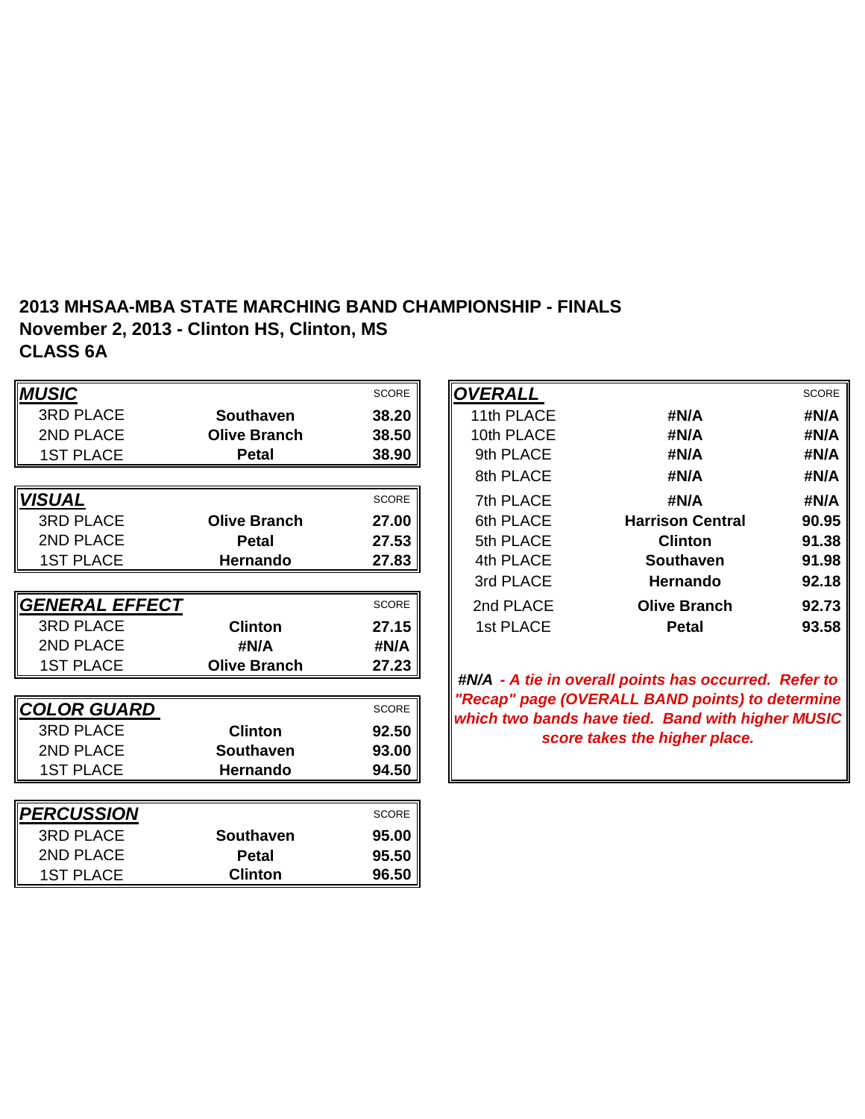## **2013 MHSAA-MBA STATE MARCHING BAND CHAMPIONSHIP - FINALS November 2, 2013 - Clinton HS, Clinton, MS CLASS 6A**

| <b>MUSIC</b>              |                     | SCORE        | <b>OVERALL</b> |                                                                                                          | <b>SCORE</b> |
|---------------------------|---------------------|--------------|----------------|----------------------------------------------------------------------------------------------------------|--------------|
| <b>3RD PLACE</b>          | <b>Southaven</b>    | 38.20        | 11th PLACE     | #N/A                                                                                                     | #N/A         |
| 2ND PLACE                 | <b>Olive Branch</b> | 38.50        | 10th PLACE     | #N/A                                                                                                     | #N/A         |
| <b>1ST PLACE</b>          | <b>Petal</b>        | 38.90        | 9th PLACE      | #N/A                                                                                                     | #N/A         |
|                           |                     |              | 8th PLACE      | #N/A                                                                                                     | #N/A         |
| <b>VISUAL</b>             |                     | <b>SCORE</b> | 7th PLACE      | #N/A                                                                                                     | #N/A         |
| <b>3RD PLACE</b>          | <b>Olive Branch</b> | 27.00        | 6th PLACE      | <b>Harrison Central</b>                                                                                  | 90.95        |
| 2ND PLACE                 | <b>Petal</b>        | 27.53        | 5th PLACE      | <b>Clinton</b>                                                                                           | 91.38        |
| <b>1ST PLACE</b>          | Hernando            | 27.83        | 4th PLACE      | <b>Southaven</b>                                                                                         | 91.98        |
|                           |                     |              | 3rd PLACE      | <b>Hernando</b>                                                                                          | 92.18        |
| GENERAL EFFECT            |                     | <b>SCORE</b> | 2nd PLACE      | <b>Olive Branch</b>                                                                                      | 92.73        |
| <b>3RD PLACE</b>          | <b>Clinton</b>      | 27.15        | 1st PLACE      | <b>Petal</b>                                                                                             | 93.58        |
| 2ND PLACE                 | #N/A                | #N/A         |                |                                                                                                          |              |
| <b>1ST PLACE</b>          | <b>Olive Branch</b> | 27.23        |                |                                                                                                          |              |
|                           |                     |              |                | #N/A - A tie in overall points has occurred. Refer to<br>"Recap" page (OVERALL BAND points) to determine |              |
| <u>  COLOR GUARD</u>      |                     | SCORE        |                | which two bands have tied. Band with higher MUSIC                                                        |              |
| <b>3RD PLACE</b>          | <b>Clinton</b>      | 92.50        |                | score takes the higher place.                                                                            |              |
| 2ND PLACE                 | <b>Southaven</b>    | 93.00        |                |                                                                                                          |              |
| <b>1ST PLACE</b>          | <b>Hernando</b>     | 94.50        |                |                                                                                                          |              |
|                           |                     |              |                |                                                                                                          |              |
| <i><b> PERCUSSION</b></i> |                     | SCORE        |                |                                                                                                          |              |
| <b>3RD PLACE</b>          | <b>Southaven</b>    | 95.00        |                |                                                                                                          |              |
| 2ND PLACE                 | <b>Petal</b>        | 95.50        |                |                                                                                                          |              |
| <b>1ST PLACE</b>          | <b>Clinton</b>      | 96.50        |                |                                                                                                          |              |

|                     | <b>SCORE</b> | <b>OVERALL</b> |                         | <b>SCORE</b> |
|---------------------|--------------|----------------|-------------------------|--------------|
| <b>Southaven</b>    | 38.20        | 11th PLACE     | #N/A                    | #N/A         |
| <b>Olive Branch</b> | 38.50        | 10th PLACE     | #N/A                    | #N/A         |
| <b>Petal</b>        | 38.90        | 9th PLACE      | #N/A                    | #N/A         |
|                     |              | 8th PLACE      | #N/A                    | #N/A         |
|                     | <b>SCORE</b> | 7th PLACE      | #N/A                    | #N/A         |
| <b>Olive Branch</b> | 27.00        | 6th PLACE      | <b>Harrison Central</b> | 90.95        |
| <b>Petal</b>        | 27.53        | 5th PLACE      | <b>Clinton</b>          | 91.38        |
| <b>Hernando</b>     | 27.83        | 4th PLACE      | <b>Southaven</b>        | 91.98        |
|                     |              | 3rd PLACE      | <b>Hernando</b>         | 92.18        |
|                     | <b>SCORE</b> | 2nd PLACE      | <b>Olive Branch</b>     | 92.73        |
| <b>Clinton</b>      | 27.15        | 1st PLACE      | <b>Petal</b>            | 93.58        |
|                     |              |                |                         |              |